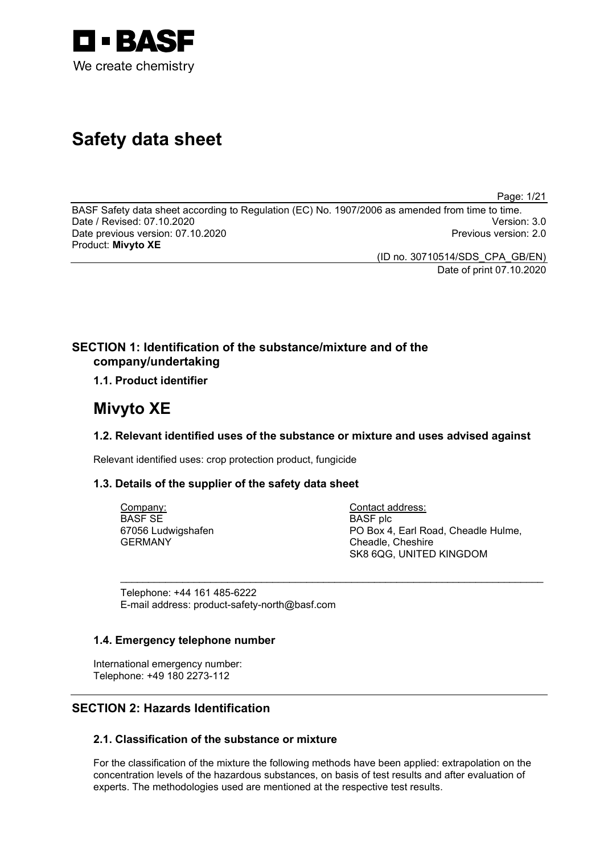

# **Safety data sheet**

Page: 1/21

BASF Safety data sheet according to Regulation (EC) No. 1907/2006 as amended from time to time. Date / Revised: 07.10.2020 Version: 3.0 Date previous version: 07.10.2020 Product: **Mivyto XE**

(ID no. 30710514/SDS\_CPA\_GB/EN) Date of print 07.10.2020

# **SECTION 1: Identification of the substance/mixture and of the company/undertaking**

# **1.1. Product identifier**

# **Mivyto XE**

# **1.2. Relevant identified uses of the substance or mixture and uses advised against**

\_\_\_\_\_\_\_\_\_\_\_\_\_\_\_\_\_\_\_\_\_\_\_\_\_\_\_\_\_\_\_\_\_\_\_\_\_\_\_\_\_\_\_\_\_\_\_\_\_\_\_\_\_\_\_\_\_\_\_\_\_\_\_\_\_\_\_\_\_\_\_\_\_\_\_

Relevant identified uses: crop protection product, fungicide

# **1.3. Details of the supplier of the safety data sheet**

Company: BASF SE 67056 Ludwigshafen GERMANY

Contact address: BASF plc PO Box 4, Earl Road, Cheadle Hulme, Cheadle, Cheshire SK8 6QG, UNITED KINGDOM

Telephone: +44 161 485-6222 E-mail address: product-safety-north@basf.com

# **1.4. Emergency telephone number**

International emergency number: Telephone: +49 180 2273-112

# **SECTION 2: Hazards Identification**

# **2.1. Classification of the substance or mixture**

For the classification of the mixture the following methods have been applied: extrapolation on the concentration levels of the hazardous substances, on basis of test results and after evaluation of experts. The methodologies used are mentioned at the respective test results.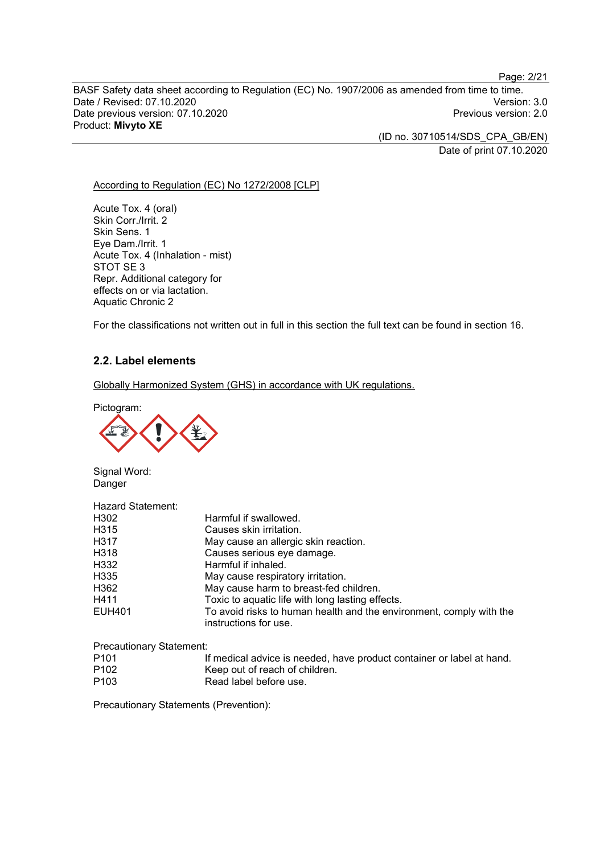Page: 2/21

BASF Safety data sheet according to Regulation (EC) No. 1907/2006 as amended from time to time. Date / Revised: 07.10.2020<br>Date previous version: 07.10.2020 Version: 3.0 Date previous version: 07.10.2020 Product: **Mivyto XE**

> (ID no. 30710514/SDS\_CPA\_GB/EN) Date of print 07.10.2020

#### According to Regulation (EC) No 1272/2008 [CLP]

Acute Tox. 4 (oral) Skin Corr./Irrit. 2 Skin Sens. 1 Eye Dam./Irrit. 1 Acute Tox. 4 (Inhalation - mist) STOT SE 3 Repr. Additional category for effects on or via lactation. Aquatic Chronic 2

For the classifications not written out in full in this section the full text can be found in section 16.

## **2.2. Label elements**

Globally Harmonized System (GHS) in accordance with UK regulations.

Pictogram:



Signal Word: Danger

| Hazard Statement: |                                                                                              |
|-------------------|----------------------------------------------------------------------------------------------|
| H302              | Harmful if swallowed.                                                                        |
| H315              | Causes skin irritation.                                                                      |
| H317              | May cause an allergic skin reaction.                                                         |
| H318              | Causes serious eye damage.                                                                   |
| H332              | Harmful if inhaled.                                                                          |
| H335              | May cause respiratory irritation.                                                            |
| H362              | May cause harm to breast-fed children.                                                       |
| H411              | Toxic to aquatic life with long lasting effects.                                             |
| EUH401            | To avoid risks to human health and the environment, comply with the<br>instructions for use. |

Precautionary Statement:

| P <sub>101</sub> | If medical advice is needed, have product container or label at hand. |
|------------------|-----------------------------------------------------------------------|
| P <sub>102</sub> | Keep out of reach of children.                                        |
| P <sub>103</sub> | Read label before use.                                                |

Precautionary Statements (Prevention):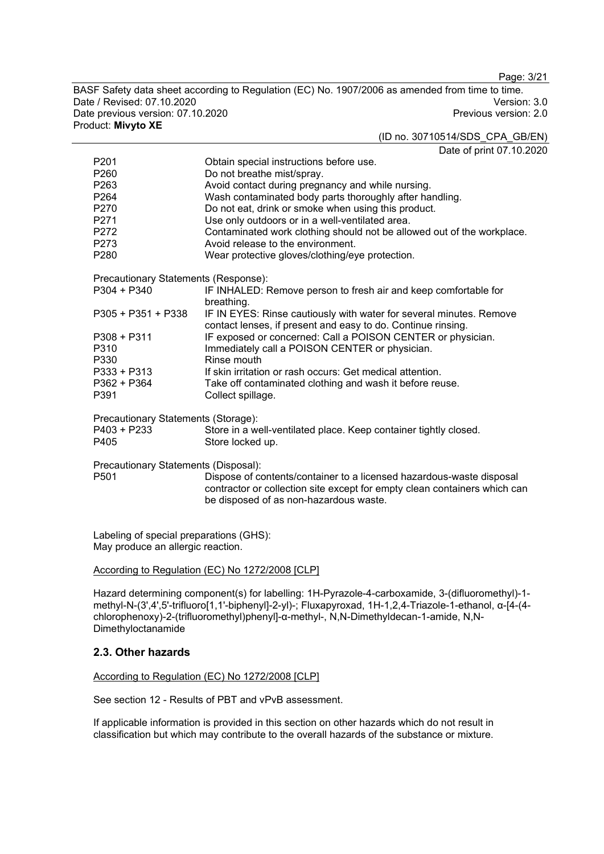Page: 3/21

BASF Safety data sheet according to Regulation (EC) No. 1907/2006 as amended from time to time. Date / Revised: 07.10.2020<br>Date previous version: 07.10.2020 Version: 3.0 Date previous version: 07.10.2020 Product: **Mivyto XE**

#### (ID no. 30710514/SDS\_CPA\_GB/EN)

Date of print 07.10.2020

|                                      | Dalt of phint of To.21                                                                                                              |  |
|--------------------------------------|-------------------------------------------------------------------------------------------------------------------------------------|--|
| P <sub>201</sub>                     | Obtain special instructions before use.                                                                                             |  |
| P <sub>260</sub>                     | Do not breathe mist/spray.                                                                                                          |  |
| P263                                 | Avoid contact during pregnancy and while nursing.                                                                                   |  |
| P264                                 | Wash contaminated body parts thoroughly after handling.                                                                             |  |
| P270                                 | Do not eat, drink or smoke when using this product.                                                                                 |  |
| P271                                 | Use only outdoors or in a well-ventilated area.                                                                                     |  |
| P272                                 | Contaminated work clothing should not be allowed out of the workplace.                                                              |  |
| P273                                 | Avoid release to the environment.                                                                                                   |  |
| P280                                 | Wear protective gloves/clothing/eye protection.                                                                                     |  |
| Precautionary Statements (Response): |                                                                                                                                     |  |
| $P304 + P340$                        | IF INHALED: Remove person to fresh air and keep comfortable for<br>breathing.                                                       |  |
| $P305 + P351 + P338$                 | IF IN EYES: Rinse cautiously with water for several minutes. Remove<br>contact lenses, if present and easy to do. Continue rinsing. |  |
| $P308 + P311$                        | IF exposed or concerned: Call a POISON CENTER or physician.                                                                         |  |
| P310                                 | Immediately call a POISON CENTER or physician.                                                                                      |  |
| P330                                 | Rinse mouth                                                                                                                         |  |
| $P333 + P313$                        | If skin irritation or rash occurs: Get medical attention.                                                                           |  |
| $P362 + P364$                        | Take off contaminated clothing and wash it before reuse.                                                                            |  |
| P391                                 | Collect spillage.                                                                                                                   |  |
| Precautionary Statements (Storage):  |                                                                                                                                     |  |
| P403 + P233                          | Store in a well-ventilated place. Keep container tightly closed.                                                                    |  |
| P405                                 | Store locked up.                                                                                                                    |  |
| Precautionary Statements (Disposal): |                                                                                                                                     |  |
| P <sub>501</sub>                     | Dispose of contents/container to a licensed hazardous-waste disposal                                                                |  |
|                                      | contractor or collection site except for empty clean containers which can<br>be disposed of as non-hazardous waste.                 |  |
|                                      |                                                                                                                                     |  |

Labeling of special preparations (GHS): May produce an allergic reaction.

#### According to Regulation (EC) No 1272/2008 [CLP]

Hazard determining component(s) for labelling: 1H-Pyrazole-4-carboxamide, 3-(difluoromethyl)-1 methyl-N-(3',4',5'-trifluoro[1,1'-biphenyl]-2-yl)-; Fluxapyroxad, 1H-1,2,4-Triazole-1-ethanol, α-[4-(4 chlorophenoxy)-2-(trifluoromethyl)phenyl]-α-methyl-, N,N-Dimethyldecan-1-amide, N,N-Dimethyloctanamide

## **2.3. Other hazards**

#### According to Regulation (EC) No 1272/2008 [CLP]

See section 12 - Results of PBT and vPvB assessment.

If applicable information is provided in this section on other hazards which do not result in classification but which may contribute to the overall hazards of the substance or mixture.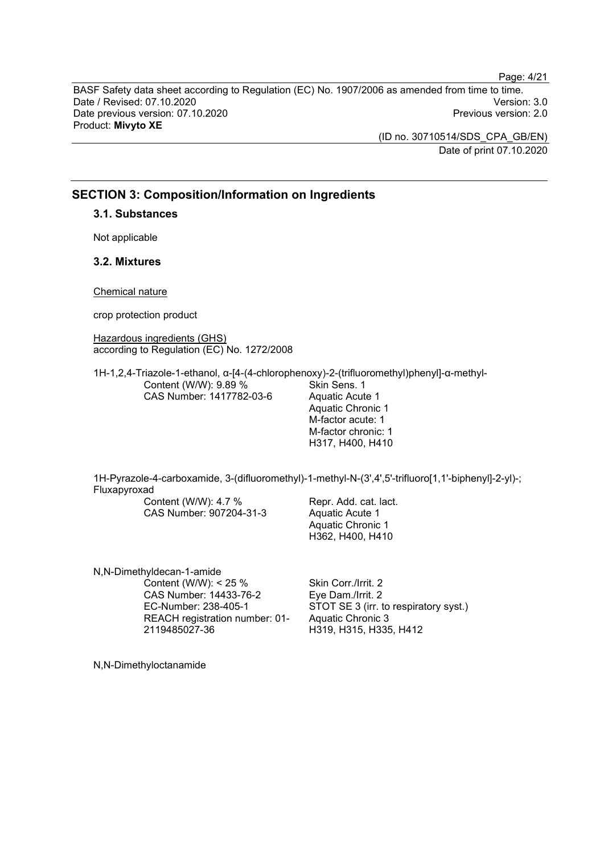BASF Safety data sheet according to Regulation (EC) No. 1907/2006 as amended from time to time. Date / Revised: 07.10.2020 Version: 3.0 Date previous version: 07.10.2020 Product: **Mivyto XE**

> (ID no. 30710514/SDS\_CPA\_GB/EN) Date of print 07.10.2020

Page: 4/21

## **SECTION 3: Composition/Information on Ingredients**

**3.1. Substances**

Not applicable

## **3.2. Mixtures**

Chemical nature

crop protection product

Hazardous ingredients (GHS) according to Regulation (EC) No. 1272/2008

1H-1,2,4-Triazole-1-ethanol, α-[4-(4-chlorophenoxy)-2-(trifluoromethyl)phenyl]-α-methyl-Content (W/W): 9.89 % CAS Number: 1417782-03-6 Skin Sens. 1 Aquatic Acute 1

Aquatic Chronic 1 M-factor acute: 1 M-factor chronic: 1 H317, H400, H410

1H-Pyrazole-4-carboxamide, 3-(difluoromethyl)-1-methyl-N-(3',4',5'-trifluoro[1,1'-biphenyl]-2-yl)-; Fluxapyroxad

Content (W/W): 4.7 % CAS Number: 907204-31-3 Repr. Add. cat. lact. Aquatic Acute 1 Aquatic Chronic 1 H362, H400, H410

N,N-Dimethyldecan-1-amide Content (W/W): < 25 % CAS Number: 14433-76-2 EC-Number: 238-405-1 REACH registration number: 01- 2119485027-36

Skin Corr./Irrit. 2 Eye Dam./Irrit. 2 STOT SE 3 (irr. to respiratory syst.) Aquatic Chronic 3 H319, H315, H335, H412

N,N-Dimethyloctanamide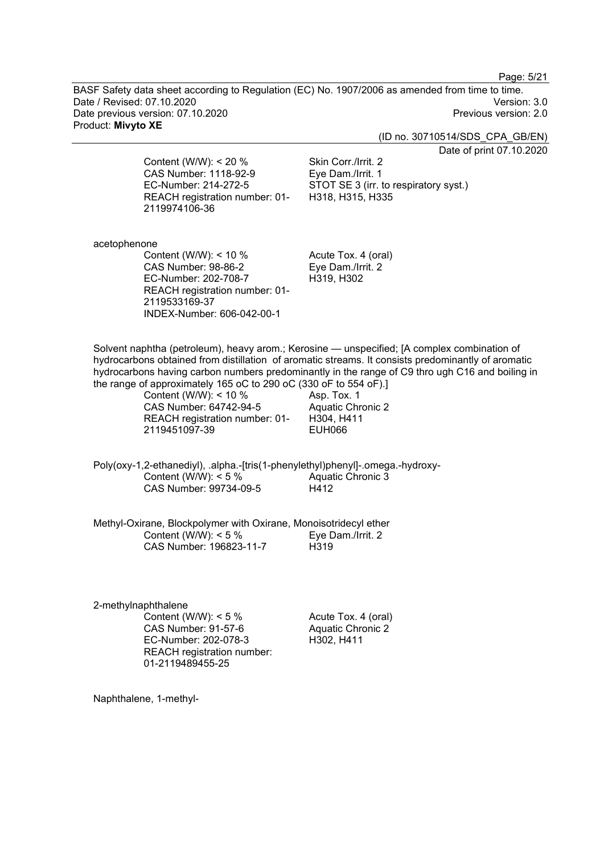Page: 5/21

BASF Safety data sheet according to Regulation (EC) No. 1907/2006 as amended from time to time. Date / Revised: 07.10.2020 Version: 3.0 Date previous version: 07.10.2020 Product: **Mivyto XE**

(ID no. 30710514/SDS\_CPA\_GB/EN)

Date of print 07.10.2020

Content (W/W): < 20 % CAS Number: 1118-92-9 EC-Number: 214-272-5 REACH registration number: 01- 2119974106-36

Skin Corr./Irrit. 2 Eye Dam./Irrit. 1 STOT SE 3 (irr. to respiratory syst.) H318, H315, H335

acetophenone

Content (W/W): < 10 % CAS Number: 98-86-2 EC-Number: 202-708-7 REACH registration number: 01- 2119533169-37 INDEX-Number: 606-042-00-1

Acute Tox. 4 (oral) Eye Dam./Irrit. 2 H319, H302

Solvent naphtha (petroleum), heavy arom.; Kerosine — unspecified; [A complex combination of hydrocarbons obtained from distillation of aromatic streams. It consists predominantly of aromatic hydrocarbons having carbon numbers predominantly in the range of C9 thro ugh C16 and boiling in the range of approximately 165 oC to 290 oC (330 oF to 554 oF).]

> Content (W/W): < 10 % CAS Number: 64742-94-5 REACH registration number: 01- 2119451097-39

Asp. Tox. 1 Aquatic Chronic 2 H304, H411 EUH066

Poly(oxy-1,2-ethanediyl), .alpha.-[tris(1-phenylethyl)phenyl]-.omega.-hydroxy-Content (W/W):  $< 5 \%$ CAS Number: 99734-09-5 Aquatic Chronic 3 H412

Methyl-Oxirane, Blockpolymer with Oxirane, Monoisotridecyl ether Content (W/W): < 5 % CAS Number: 196823-11-7 Eye Dam./Irrit. 2 H319

2-methylnaphthalene Content (W/W):  $< 5 \%$ CAS Number: 91-57-6 EC-Number: 202-078-3 REACH registration number: 01-2119489455-25

Acute Tox. 4 (oral) Aquatic Chronic 2 H302, H411

Naphthalene, 1-methyl-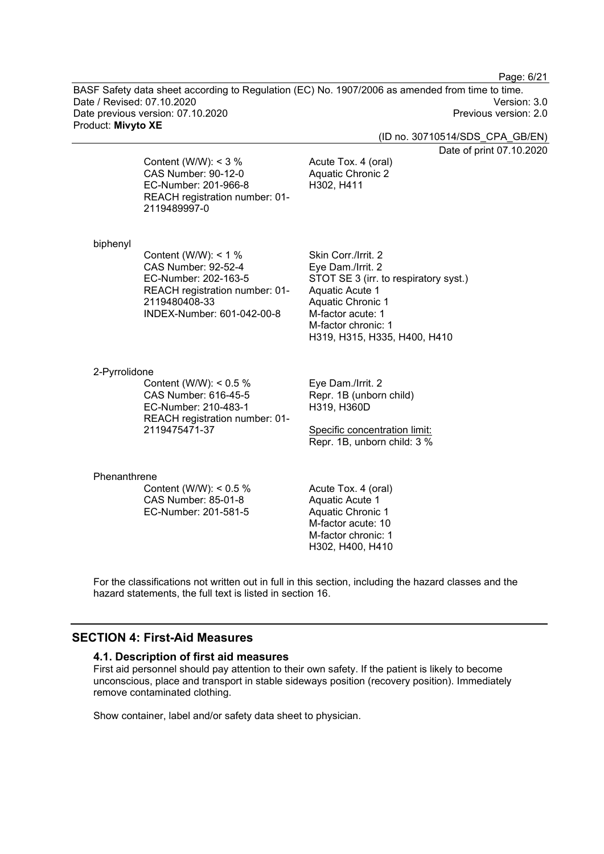Page: 6/21

BASF Safety data sheet according to Regulation (EC) No. 1907/2006 as amended from time to time. Date / Revised: 07.10.2020 Version: 3.0 Date previous version: 07.10.2020 Product: **Mivyto XE**

(ID no. 30710514/SDS\_CPA\_GB/EN)

Date of print 07.10.2020

Content (W/W):  $<$  3 % CAS Number: 90-12-0 EC-Number: 201-966-8 REACH registration number: 01- 2119489997-0

Acute Tox. 4 (oral) Aquatic Chronic 2 H302, H411

#### biphenyl

Content (W/W): < 1 % CAS Number: 92-52-4 EC-Number: 202-163-5 REACH registration number: 01- 2119480408-33 INDEX-Number: 601-042-00-8

Skin Corr./Irrit. 2 Eye Dam./Irrit. 2 STOT SE 3 (irr. to respiratory syst.) Aquatic Acute 1 Aquatic Chronic 1 M-factor acute: 1 M-factor chronic: 1 H319, H315, H335, H400, H410

#### 2-Pyrrolidone

Content (W/W): < 0.5 % CAS Number: 616-45-5 EC-Number: 210-483-1 REACH registration number: 01- 2119475471-37

Eye Dam./Irrit. 2 Repr. 1B (unborn child) H319, H360D

Specific concentration limit: Repr. 1B, unborn child: 3 %

#### Phenanthrene

Content (W/W): < 0.5 % CAS Number: 85-01-8 EC-Number: 201-581-5

Acute Tox. 4 (oral) Aquatic Acute 1 Aquatic Chronic 1 M-factor acute: 10 M-factor chronic: 1 H302, H400, H410

For the classifications not written out in full in this section, including the hazard classes and the hazard statements, the full text is listed in section 16.

## **SECTION 4: First-Aid Measures**

#### **4.1. Description of first aid measures**

First aid personnel should pay attention to their own safety. If the patient is likely to become unconscious, place and transport in stable sideways position (recovery position). Immediately remove contaminated clothing.

Show container, label and/or safety data sheet to physician.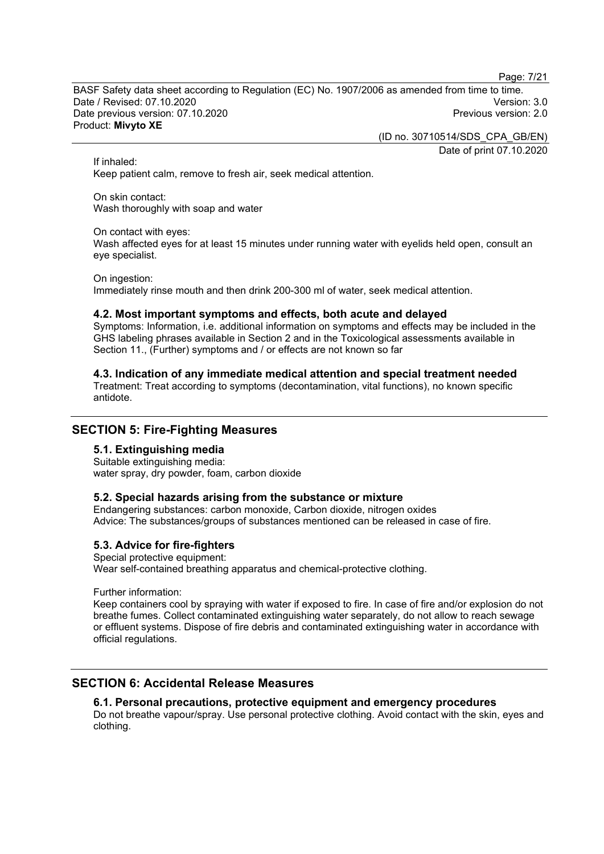Page: 7/21

BASF Safety data sheet according to Regulation (EC) No. 1907/2006 as amended from time to time. Date / Revised: 07.10.2020 Version: 3.0 Date previous version: 07.10.2020 Product: **Mivyto XE**

(ID no. 30710514/SDS\_CPA\_GB/EN)

Date of print 07.10.2020

If inhaled:

Keep patient calm, remove to fresh air, seek medical attention.

On skin contact: Wash thoroughly with soap and water

#### On contact with eyes:

Wash affected eyes for at least 15 minutes under running water with eyelids held open, consult an eye specialist.

#### On ingestion:

Immediately rinse mouth and then drink 200-300 ml of water, seek medical attention.

## **4.2. Most important symptoms and effects, both acute and delayed**

Symptoms: Information, i.e. additional information on symptoms and effects may be included in the GHS labeling phrases available in Section 2 and in the Toxicological assessments available in Section 11., (Further) symptoms and / or effects are not known so far

## **4.3. Indication of any immediate medical attention and special treatment needed**

Treatment: Treat according to symptoms (decontamination, vital functions), no known specific antidote.

# **SECTION 5: Fire-Fighting Measures**

## **5.1. Extinguishing media**

Suitable extinguishing media: water spray, dry powder, foam, carbon dioxide

## **5.2. Special hazards arising from the substance or mixture**

Endangering substances: carbon monoxide, Carbon dioxide, nitrogen oxides Advice: The substances/groups of substances mentioned can be released in case of fire.

## **5.3. Advice for fire-fighters**

Special protective equipment: Wear self-contained breathing apparatus and chemical-protective clothing.

Further information:

Keep containers cool by spraying with water if exposed to fire. In case of fire and/or explosion do not breathe fumes. Collect contaminated extinguishing water separately, do not allow to reach sewage or effluent systems. Dispose of fire debris and contaminated extinguishing water in accordance with official regulations.

# **SECTION 6: Accidental Release Measures**

## **6.1. Personal precautions, protective equipment and emergency procedures**

Do not breathe vapour/spray. Use personal protective clothing. Avoid contact with the skin, eyes and clothing.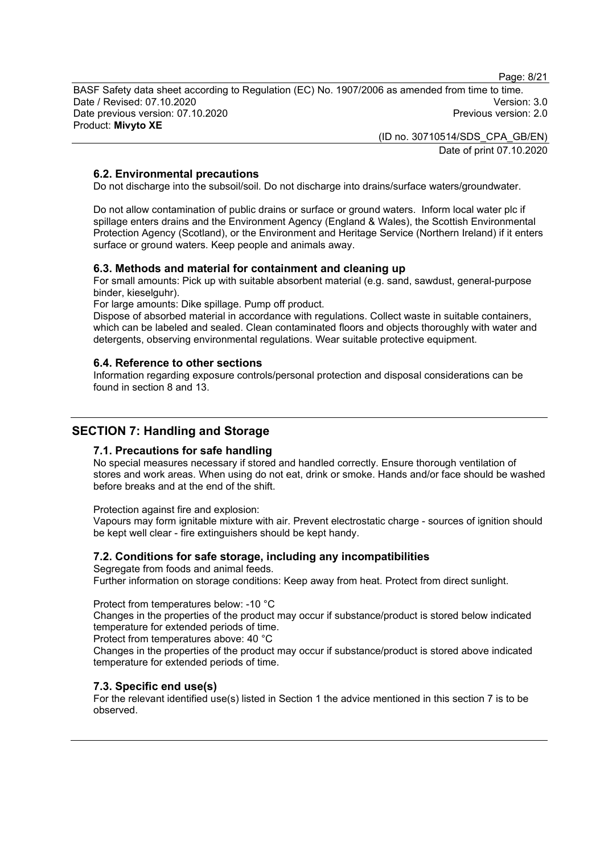Page: 8/21

BASF Safety data sheet according to Regulation (EC) No. 1907/2006 as amended from time to time. Date / Revised: 07.10.2020 Version: 3.0 Date previous version: 07.10.2020 Product: **Mivyto XE**

> (ID no. 30710514/SDS\_CPA\_GB/EN) Date of print 07.10.2020

## **6.2. Environmental precautions**

Do not discharge into the subsoil/soil. Do not discharge into drains/surface waters/groundwater.

Do not allow contamination of public drains or surface or ground waters. Inform local water plc if spillage enters drains and the Environment Agency (England & Wales), the Scottish Environmental Protection Agency (Scotland), or the Environment and Heritage Service (Northern Ireland) if it enters surface or ground waters. Keep people and animals away.

#### **6.3. Methods and material for containment and cleaning up**

For small amounts: Pick up with suitable absorbent material (e.g. sand, sawdust, general-purpose binder, kieselguhr).

For large amounts: Dike spillage. Pump off product.

Dispose of absorbed material in accordance with regulations. Collect waste in suitable containers, which can be labeled and sealed. Clean contaminated floors and objects thoroughly with water and detergents, observing environmental regulations. Wear suitable protective equipment.

#### **6.4. Reference to other sections**

Information regarding exposure controls/personal protection and disposal considerations can be found in section 8 and 13.

# **SECTION 7: Handling and Storage**

#### **7.1. Precautions for safe handling**

No special measures necessary if stored and handled correctly. Ensure thorough ventilation of stores and work areas. When using do not eat, drink or smoke. Hands and/or face should be washed before breaks and at the end of the shift.

Protection against fire and explosion:

Vapours may form ignitable mixture with air. Prevent electrostatic charge - sources of ignition should be kept well clear - fire extinguishers should be kept handy.

## **7.2. Conditions for safe storage, including any incompatibilities**

Segregate from foods and animal feeds. Further information on storage conditions: Keep away from heat. Protect from direct sunlight.

#### Protect from temperatures below: -10 °C

Changes in the properties of the product may occur if substance/product is stored below indicated temperature for extended periods of time.

Protect from temperatures above: 40 °C

Changes in the properties of the product may occur if substance/product is stored above indicated temperature for extended periods of time.

## **7.3. Specific end use(s)**

For the relevant identified use(s) listed in Section 1 the advice mentioned in this section 7 is to be observed.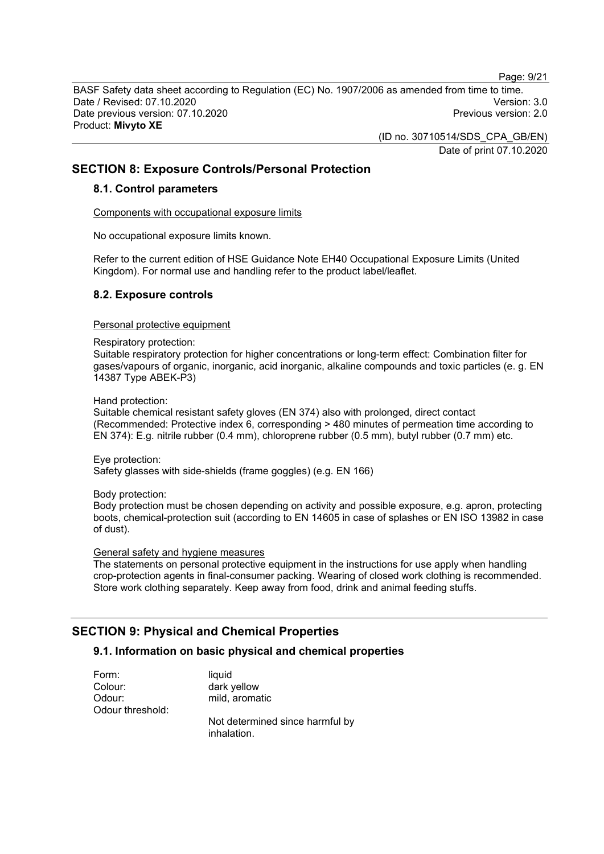Page: 9/21

BASF Safety data sheet according to Regulation (EC) No. 1907/2006 as amended from time to time. Date / Revised: 07.10.2020 Version: 3.0 Date previous version: 07.10.2020 Product: **Mivyto XE**

> (ID no. 30710514/SDS\_CPA\_GB/EN) Date of print 07.10.2020

# **SECTION 8: Exposure Controls/Personal Protection**

#### **8.1. Control parameters**

Components with occupational exposure limits

No occupational exposure limits known.

Refer to the current edition of HSE Guidance Note EH40 Occupational Exposure Limits (United Kingdom). For normal use and handling refer to the product label/leaflet.

## **8.2. Exposure controls**

#### Personal protective equipment

#### Respiratory protection:

Suitable respiratory protection for higher concentrations or long-term effect: Combination filter for gases/vapours of organic, inorganic, acid inorganic, alkaline compounds and toxic particles (e. g. EN 14387 Type ABEK-P3)

Hand protection:

Suitable chemical resistant safety gloves (EN 374) also with prolonged, direct contact (Recommended: Protective index 6, corresponding > 480 minutes of permeation time according to EN 374): E.g. nitrile rubber (0.4 mm), chloroprene rubber (0.5 mm), butyl rubber (0.7 mm) etc.

Eye protection:

Safety glasses with side-shields (frame goggles) (e.g. EN 166)

Body protection:

Body protection must be chosen depending on activity and possible exposure, e.g. apron, protecting boots, chemical-protection suit (according to EN 14605 in case of splashes or EN ISO 13982 in case of dust).

#### General safety and hygiene measures

The statements on personal protective equipment in the instructions for use apply when handling crop-protection agents in final-consumer packing. Wearing of closed work clothing is recommended. Store work clothing separately. Keep away from food, drink and animal feeding stuffs.

# **SECTION 9: Physical and Chemical Properties**

#### **9.1. Information on basic physical and chemical properties**

Form: liquid Colour: dark yellow Odour: mild, aromatic Odour threshold:

Not determined since harmful by inhalation.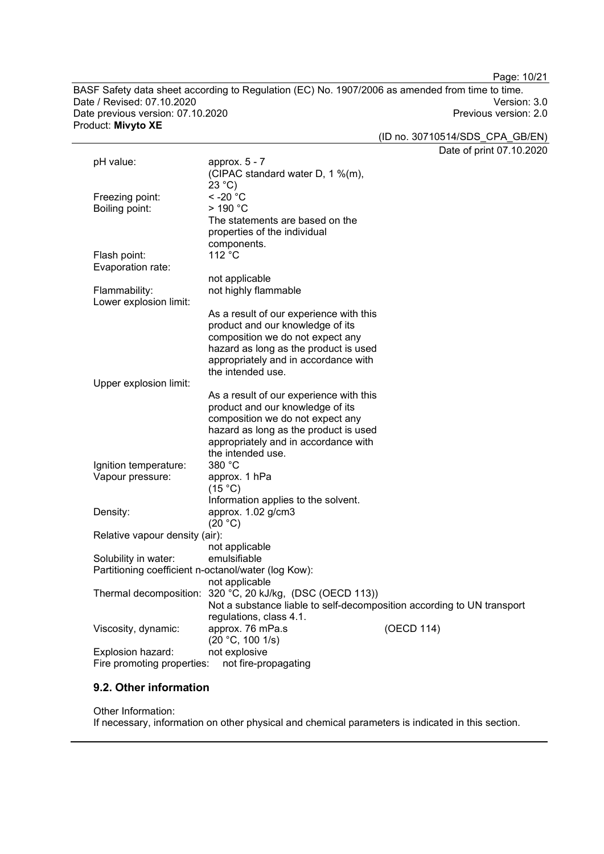Page: 10/21

BASF Safety data sheet according to Regulation (EC) No. 1907/2006 as amended from time to time. Date / Revised: 07.10.2020<br>Date previous version: 07.10.2020 Version: 07.10.2020 Date previous version: 07.10.2020 Product: **Mivyto XE**

(ID no. 30710514/SDS\_CPA\_GB/EN)

Date of print 07.10.2020

|                                                     |                                                                        | Date of print $07.10.20$ |
|-----------------------------------------------------|------------------------------------------------------------------------|--------------------------|
| pH value:                                           | approx. 5 - 7                                                          |                          |
|                                                     | (CIPAC standard water D, 1 %(m),                                       |                          |
|                                                     | $23^{\circ}$ C)                                                        |                          |
| Freezing point:                                     | $< -20$ °C                                                             |                          |
| Boiling point:                                      | $>$ 190 °C                                                             |                          |
|                                                     | The statements are based on the                                        |                          |
|                                                     | properties of the individual                                           |                          |
|                                                     | components.                                                            |                          |
| Flash point:                                        | 112 °C                                                                 |                          |
| Evaporation rate:                                   |                                                                        |                          |
|                                                     | not applicable                                                         |                          |
| Flammability:                                       | not highly flammable                                                   |                          |
| Lower explosion limit:                              |                                                                        |                          |
|                                                     | As a result of our experience with this                                |                          |
|                                                     | product and our knowledge of its                                       |                          |
|                                                     | composition we do not expect any                                       |                          |
|                                                     | hazard as long as the product is used                                  |                          |
|                                                     | appropriately and in accordance with                                   |                          |
|                                                     | the intended use.                                                      |                          |
| Upper explosion limit:                              |                                                                        |                          |
|                                                     | As a result of our experience with this                                |                          |
|                                                     | product and our knowledge of its                                       |                          |
|                                                     | composition we do not expect any                                       |                          |
|                                                     | hazard as long as the product is used                                  |                          |
|                                                     | appropriately and in accordance with                                   |                          |
|                                                     | the intended use.                                                      |                          |
| Ignition temperature:                               | 380 °C                                                                 |                          |
| Vapour pressure:                                    | approx. 1 hPa                                                          |                          |
|                                                     | (15 °C)                                                                |                          |
|                                                     | Information applies to the solvent.                                    |                          |
| Density:                                            | approx. $1.02$ g/cm $3$                                                |                          |
|                                                     | (20 °C)                                                                |                          |
| Relative vapour density (air):                      |                                                                        |                          |
|                                                     | not applicable                                                         |                          |
| Solubility in water:                                | emulsifiable                                                           |                          |
| Partitioning coefficient n-octanol/water (log Kow): |                                                                        |                          |
|                                                     | not applicable                                                         |                          |
|                                                     | Thermal decomposition: 320 °C, 20 kJ/kg, (DSC (OECD 113))              |                          |
|                                                     | Not a substance liable to self-decomposition according to UN transport |                          |
|                                                     | regulations, class 4.1.                                                |                          |
| Viscosity, dynamic:                                 | approx. 76 mPa.s<br>(OECD 114)                                         |                          |
|                                                     | (20 °C, 100 1/s)                                                       |                          |
| Explosion hazard:                                   | not explosive                                                          |                          |
| Fire promoting properties:                          | not fire-propagating                                                   |                          |

# **9.2. Other information**

#### Other Information:

If necessary, information on other physical and chemical parameters is indicated in this section.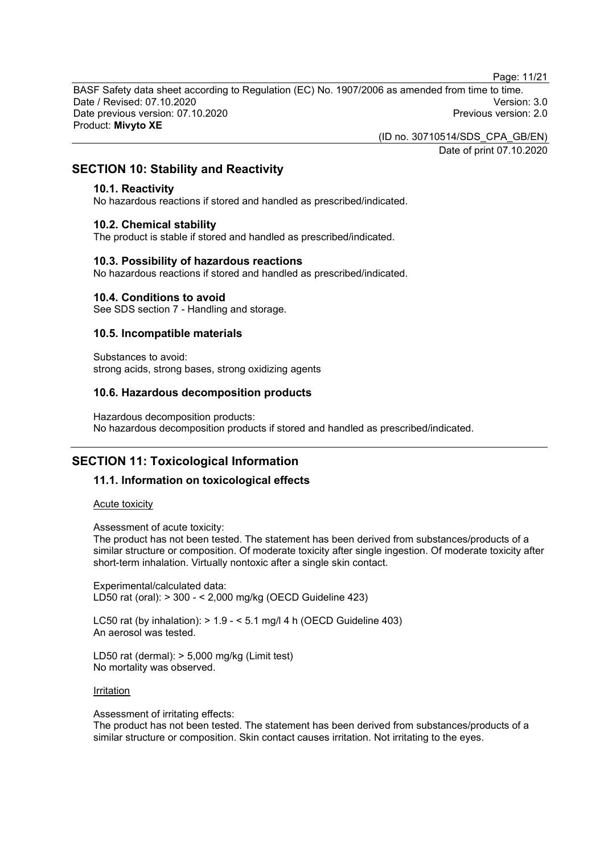Page: 11/21

BASF Safety data sheet according to Regulation (EC) No. 1907/2006 as amended from time to time. Date / Revised: 07.10.2020 Version: 3.0 Date previous version: 07.10.2020 Product: **Mivyto XE**

(ID no. 30710514/SDS\_CPA\_GB/EN)

Date of print 07.10.2020

## **SECTION 10: Stability and Reactivity**

#### **10.1. Reactivity**

No hazardous reactions if stored and handled as prescribed/indicated.

#### **10.2. Chemical stability**

The product is stable if stored and handled as prescribed/indicated.

#### **10.3. Possibility of hazardous reactions**

No hazardous reactions if stored and handled as prescribed/indicated.

#### **10.4. Conditions to avoid**

See SDS section 7 - Handling and storage.

#### **10.5. Incompatible materials**

Substances to avoid: strong acids, strong bases, strong oxidizing agents

#### **10.6. Hazardous decomposition products**

Hazardous decomposition products: No hazardous decomposition products if stored and handled as prescribed/indicated.

# **SECTION 11: Toxicological Information**

## **11.1. Information on toxicological effects**

#### Acute toxicity

Assessment of acute toxicity:

The product has not been tested. The statement has been derived from substances/products of a similar structure or composition. Of moderate toxicity after single ingestion. Of moderate toxicity after short-term inhalation. Virtually nontoxic after a single skin contact.

Experimental/calculated data: LD50 rat (oral): > 300 - < 2,000 mg/kg (OECD Guideline 423)

LC50 rat (by inhalation):  $> 1.9 - 5.1$  mg/l 4 h (OECD Guideline 403) An aerosol was tested.

LD50 rat (dermal): > 5,000 mg/kg (Limit test) No mortality was observed.

#### **Irritation**

Assessment of irritating effects:

The product has not been tested. The statement has been derived from substances/products of a similar structure or composition. Skin contact causes irritation. Not irritating to the eyes.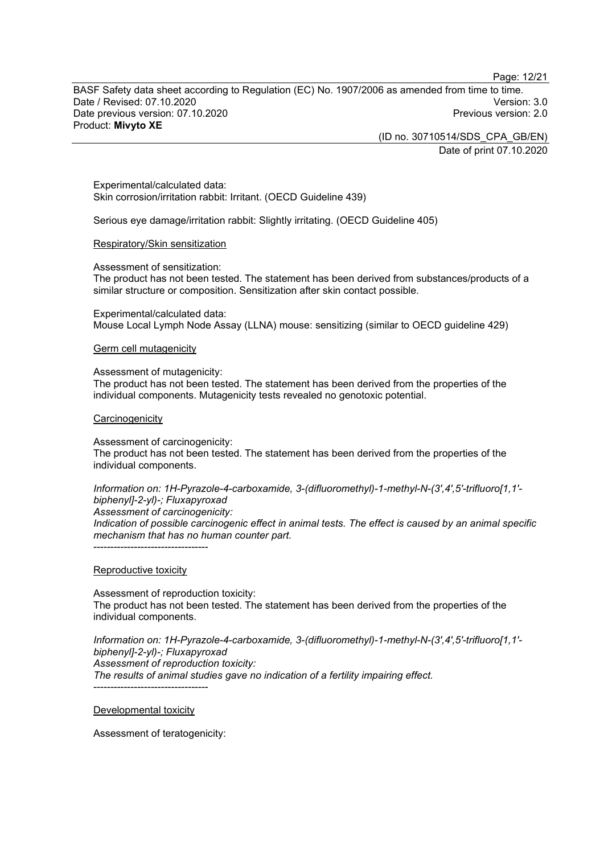Page: 12/21

BASF Safety data sheet according to Regulation (EC) No. 1907/2006 as amended from time to time. Date / Revised: 07.10.2020 Version: 3.0 Date previous version: 07.10.2020 Product: **Mivyto XE**

> (ID no. 30710514/SDS\_CPA\_GB/EN) Date of print 07.10.2020

Experimental/calculated data: Skin corrosion/irritation rabbit: Irritant. (OECD Guideline 439)

Serious eye damage/irritation rabbit: Slightly irritating. (OECD Guideline 405)

#### Respiratory/Skin sensitization

Assessment of sensitization:

The product has not been tested. The statement has been derived from substances/products of a similar structure or composition. Sensitization after skin contact possible.

Experimental/calculated data: Mouse Local Lymph Node Assay (LLNA) mouse: sensitizing (similar to OECD guideline 429)

#### Germ cell mutagenicity

Assessment of mutagenicity:

The product has not been tested. The statement has been derived from the properties of the individual components. Mutagenicity tests revealed no genotoxic potential.

#### **Carcinogenicity**

Assessment of carcinogenicity: The product has not been tested. The statement has been derived from the properties of the individual components.

*Information on: 1H-Pyrazole-4-carboxamide, 3-(difluoromethyl)-1-methyl-N-(3',4',5'-trifluoro[1,1' biphenyl]-2-yl)-; Fluxapyroxad Assessment of carcinogenicity: Indication of possible carcinogenic effect in animal tests. The effect is caused by an animal specific mechanism that has no human counter part.*

----------------------------------

## Reproductive toxicity

Assessment of reproduction toxicity: The product has not been tested. The statement has been derived from the properties of the individual components.

*Information on: 1H-Pyrazole-4-carboxamide, 3-(difluoromethyl)-1-methyl-N-(3',4',5'-trifluoro[1,1' biphenyl]-2-yl)-; Fluxapyroxad Assessment of reproduction toxicity: The results of animal studies gave no indication of a fertility impairing effect.*

Developmental toxicity

----------------------------------

Assessment of teratogenicity: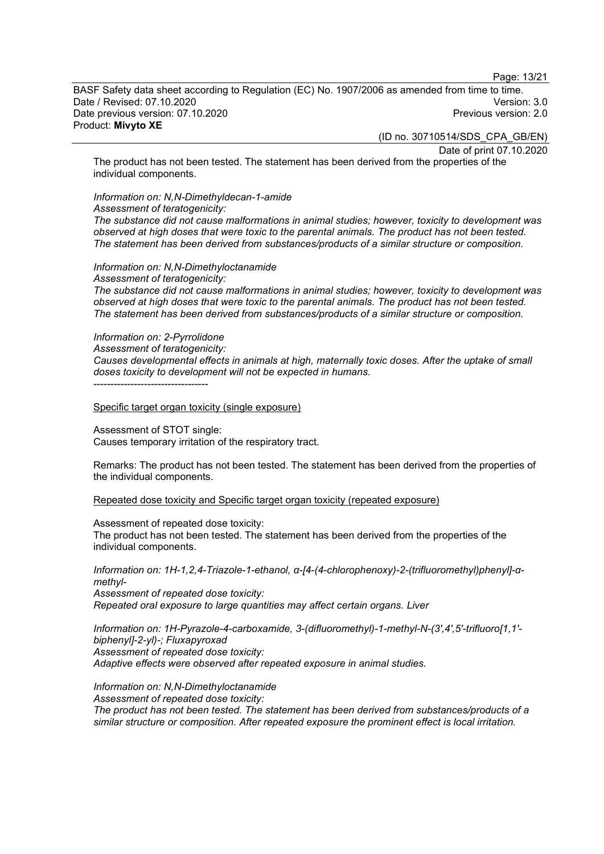Page: 13/21

BASF Safety data sheet according to Regulation (EC) No. 1907/2006 as amended from time to time. Date / Revised: 07.10.2020 Version: 3.0 Date previous version: 07.10.2020 Product: **Mivyto XE**

(ID no. 30710514/SDS\_CPA\_GB/EN)

Date of print 07.10.2020

The product has not been tested. The statement has been derived from the properties of the individual components.

# *Information on: N,N-Dimethyldecan-1-amide*

*Assessment of teratogenicity:*

*The substance did not cause malformations in animal studies; however, toxicity to development was observed at high doses that were toxic to the parental animals. The product has not been tested. The statement has been derived from substances/products of a similar structure or composition.*

## *Information on: N,N-Dimethyloctanamide*

*Assessment of teratogenicity: The substance did not cause malformations in animal studies; however, toxicity to development was observed at high doses that were toxic to the parental animals. The product has not been tested. The statement has been derived from substances/products of a similar structure or composition.*

#### *Information on: 2-Pyrrolidone*

*Assessment of teratogenicity:*

*Causes developmental effects in animals at high, maternally toxic doses. After the uptake of small doses toxicity to development will not be expected in humans.*

----------------------------------

Specific target organ toxicity (single exposure)

Assessment of STOT single: Causes temporary irritation of the respiratory tract.

Remarks: The product has not been tested. The statement has been derived from the properties of the individual components.

Repeated dose toxicity and Specific target organ toxicity (repeated exposure)

Assessment of repeated dose toxicity:

The product has not been tested. The statement has been derived from the properties of the individual components.

*Information on: 1H-1,2,4-Triazole-1-ethanol, α-[4-(4-chlorophenoxy)-2-(trifluoromethyl)phenyl]-αmethyl-*

*Assessment of repeated dose toxicity: Repeated oral exposure to large quantities may affect certain organs. Liver*

*Information on: 1H-Pyrazole-4-carboxamide, 3-(difluoromethyl)-1-methyl-N-(3',4',5'-trifluoro[1,1' biphenyl]-2-yl)-; Fluxapyroxad Assessment of repeated dose toxicity: Adaptive effects were observed after repeated exposure in animal studies.*

*Information on: N,N-Dimethyloctanamide Assessment of repeated dose toxicity: The product has not been tested. The statement has been derived from substances/products of a similar structure or composition. After repeated exposure the prominent effect is local irritation.*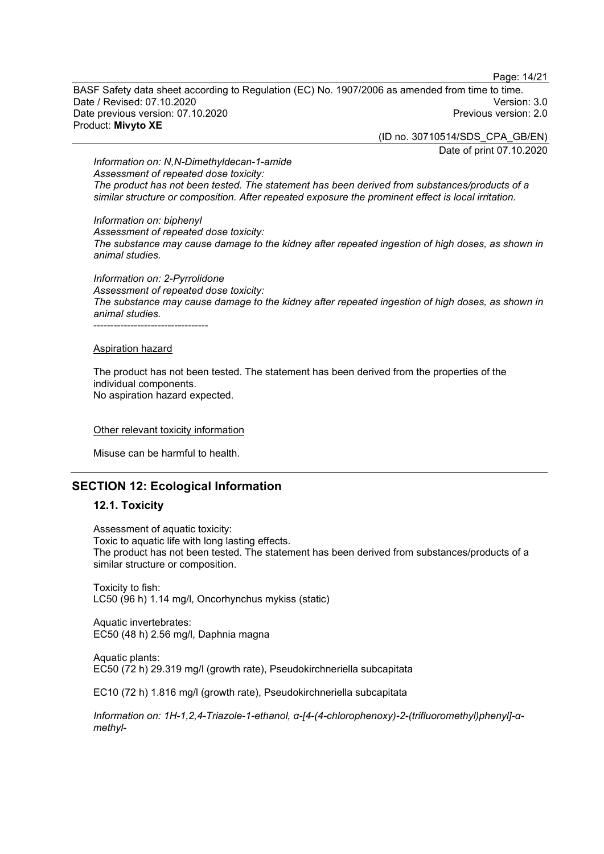Page: 14/21

BASF Safety data sheet according to Regulation (EC) No. 1907/2006 as amended from time to time. Date / Revised: 07.10.2020 Version: 3.0 Date previous version: 07.10.2020 Product: **Mivyto XE**

(ID no. 30710514/SDS\_CPA\_GB/EN)

Date of print 07.10.2020

*Information on: N,N-Dimethyldecan-1-amide Assessment of repeated dose toxicity: The product has not been tested. The statement has been derived from substances/products of a similar structure or composition. After repeated exposure the prominent effect is local irritation.*

*Information on: biphenyl*

*Assessment of repeated dose toxicity: The substance may cause damage to the kidney after repeated ingestion of high doses, as shown in animal studies.*

*Information on: 2-Pyrrolidone Assessment of repeated dose toxicity: The substance may cause damage to the kidney after repeated ingestion of high doses, as shown in animal studies.* ----------------------------------

#### Aspiration hazard

The product has not been tested. The statement has been derived from the properties of the individual components. No aspiration hazard expected.

#### Other relevant toxicity information

Misuse can be harmful to health.

## **SECTION 12: Ecological Information**

#### **12.1. Toxicity**

Assessment of aquatic toxicity: Toxic to aquatic life with long lasting effects. The product has not been tested. The statement has been derived from substances/products of a similar structure or composition.

Toxicity to fish: LC50 (96 h) 1.14 mg/l, Oncorhynchus mykiss (static)

Aquatic invertebrates: EC50 (48 h) 2.56 mg/l, Daphnia magna

Aquatic plants: EC50 (72 h) 29.319 mg/l (growth rate), Pseudokirchneriella subcapitata

EC10 (72 h) 1.816 mg/l (growth rate), Pseudokirchneriella subcapitata

*Information on: 1H-1,2,4-Triazole-1-ethanol, α-[4-(4-chlorophenoxy)-2-(trifluoromethyl)phenyl]-αmethyl-*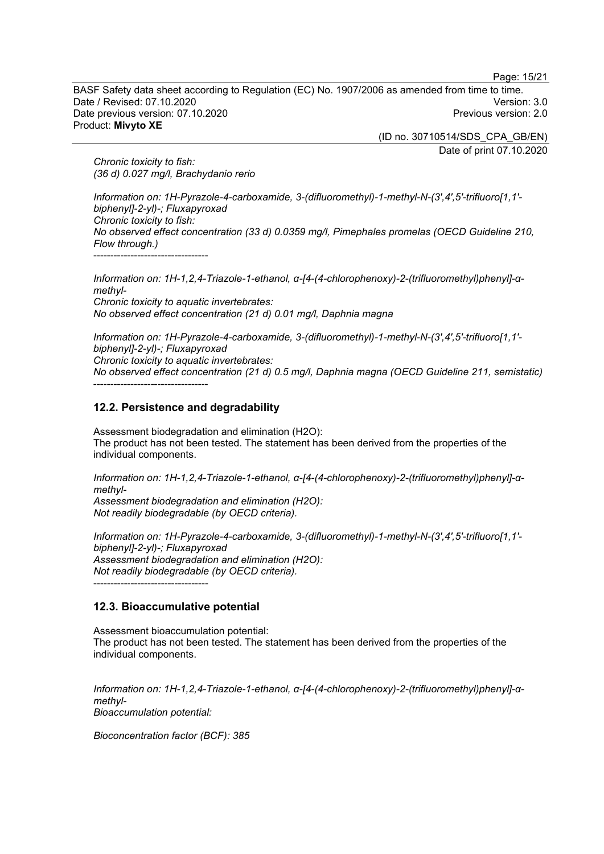Page: 15/21

BASF Safety data sheet according to Regulation (EC) No. 1907/2006 as amended from time to time. Date / Revised: 07.10.2020 Version: 3.0 Date previous version: 07.10.2020 Product: **Mivyto XE**

(ID no. 30710514/SDS\_CPA\_GB/EN)

Date of print 07.10.2020

*Chronic toxicity to fish: (36 d) 0.027 mg/l, Brachydanio rerio*

*Information on: 1H-Pyrazole-4-carboxamide, 3-(difluoromethyl)-1-methyl-N-(3',4',5'-trifluoro[1,1' biphenyl]-2-yl)-; Fluxapyroxad Chronic toxicity to fish: No observed effect concentration (33 d) 0.0359 mg/l, Pimephales promelas (OECD Guideline 210, Flow through.)* ----------------------------------

*Information on: 1H-1,2,4-Triazole-1-ethanol, α-[4-(4-chlorophenoxy)-2-(trifluoromethyl)phenyl]-αmethyl-Chronic toxicity to aquatic invertebrates: No observed effect concentration (21 d) 0.01 mg/l, Daphnia magna*

*Information on: 1H-Pyrazole-4-carboxamide, 3-(difluoromethyl)-1-methyl-N-(3',4',5'-trifluoro[1,1' biphenyl]-2-yl)-; Fluxapyroxad Chronic toxicity to aquatic invertebrates: No observed effect concentration (21 d) 0.5 mg/l, Daphnia magna (OECD Guideline 211, semistatic)* ----------------------------------

## **12.2. Persistence and degradability**

Assessment biodegradation and elimination (H2O): The product has not been tested. The statement has been derived from the properties of the individual components.

*Information on: 1H-1,2,4-Triazole-1-ethanol, α-[4-(4-chlorophenoxy)-2-(trifluoromethyl)phenyl]-αmethyl-Assessment biodegradation and elimination (H2O): Not readily biodegradable (by OECD criteria).*

*Information on: 1H-Pyrazole-4-carboxamide, 3-(difluoromethyl)-1-methyl-N-(3',4',5'-trifluoro[1,1' biphenyl]-2-yl)-; Fluxapyroxad Assessment biodegradation and elimination (H2O): Not readily biodegradable (by OECD criteria).* ----------------------------------

## **12.3. Bioaccumulative potential**

Assessment bioaccumulation potential: The product has not been tested. The statement has been derived from the properties of the individual components.

*Information on: 1H-1,2,4-Triazole-1-ethanol, α-[4-(4-chlorophenoxy)-2-(trifluoromethyl)phenyl]-αmethyl-Bioaccumulation potential:*

*Bioconcentration factor (BCF): 385*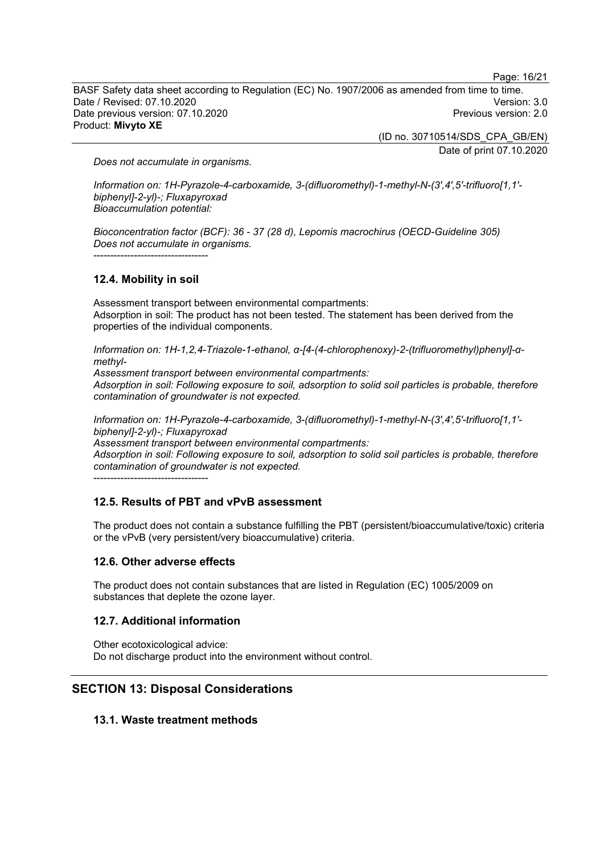Page: 16/21

BASF Safety data sheet according to Regulation (EC) No. 1907/2006 as amended from time to time. Date / Revised: 07.10.2020 Version: 3.0 Date previous version: 07.10.2020 Product: **Mivyto XE**

> (ID no. 30710514/SDS\_CPA\_GB/EN) Date of print 07.10.2020

*Does not accumulate in organisms.*

*Information on: 1H-Pyrazole-4-carboxamide, 3-(difluoromethyl)-1-methyl-N-(3',4',5'-trifluoro[1,1' biphenyl]-2-yl)-; Fluxapyroxad Bioaccumulation potential:*

*Bioconcentration factor (BCF): 36 - 37 (28 d), Lepomis macrochirus (OECD-Guideline 305) Does not accumulate in organisms.* ----------------------------------

## **12.4. Mobility in soil**

Assessment transport between environmental compartments: Adsorption in soil: The product has not been tested. The statement has been derived from the properties of the individual components.

*Information on: 1H-1,2,4-Triazole-1-ethanol, α-[4-(4-chlorophenoxy)-2-(trifluoromethyl)phenyl]-αmethyl-*

*Assessment transport between environmental compartments: Adsorption in soil: Following exposure to soil, adsorption to solid soil particles is probable, therefore contamination of groundwater is not expected.*

*Information on: 1H-Pyrazole-4-carboxamide, 3-(difluoromethyl)-1-methyl-N-(3',4',5'-trifluoro[1,1' biphenyl]-2-yl)-; Fluxapyroxad*

*Assessment transport between environmental compartments:*

*Adsorption in soil: Following exposure to soil, adsorption to solid soil particles is probable, therefore contamination of groundwater is not expected.*

----------------------------------

## **12.5. Results of PBT and vPvB assessment**

The product does not contain a substance fulfilling the PBT (persistent/bioaccumulative/toxic) criteria or the vPvB (very persistent/very bioaccumulative) criteria.

## **12.6. Other adverse effects**

The product does not contain substances that are listed in Regulation (EC) 1005/2009 on substances that deplete the ozone layer.

#### **12.7. Additional information**

Other ecotoxicological advice: Do not discharge product into the environment without control.

# **SECTION 13: Disposal Considerations**

## **13.1. Waste treatment methods**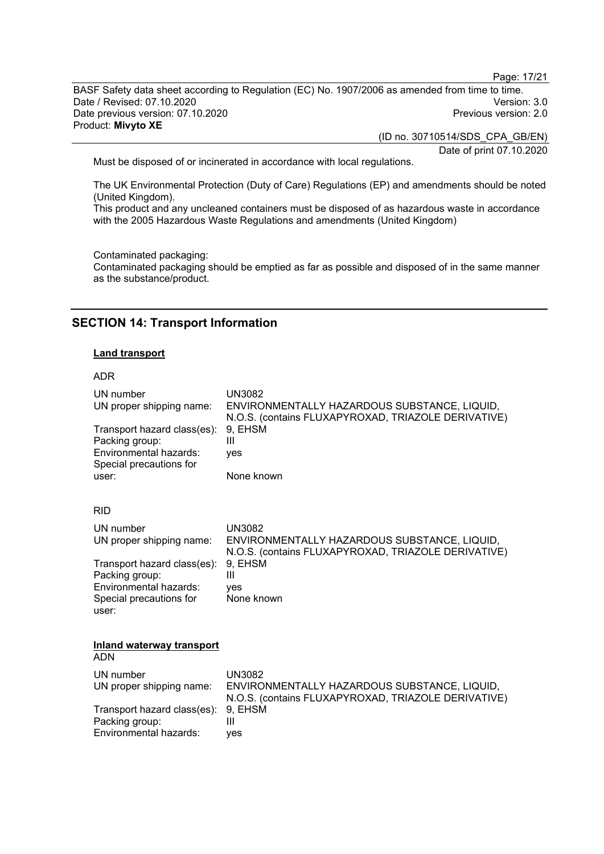Page: 17/21

BASF Safety data sheet according to Regulation (EC) No. 1907/2006 as amended from time to time. Date / Revised: 07.10.2020<br>Date previous version: 07.10.2020 Version: 3.0 Date previous version: 07.10.2020 Product: **Mivyto XE**

(ID no. 30710514/SDS\_CPA\_GB/EN)

Date of print 07.10.2020

Must be disposed of or incinerated in accordance with local regulations.

The UK Environmental Protection (Duty of Care) Regulations (EP) and amendments should be noted (United Kingdom).

This product and any uncleaned containers must be disposed of as hazardous waste in accordance with the 2005 Hazardous Waste Regulations and amendments (United Kingdom)

Contaminated packaging:

Contaminated packaging should be emptied as far as possible and disposed of in the same manner as the substance/product.

## **SECTION 14: Transport Information**

#### **Land transport**

#### ADR

| UN number<br>UN proper shipping name:<br>Transport hazard class(es):                               | <b>UN3082</b><br>ENVIRONMENTALLY HAZARDOUS SUBSTANCE, LIQUID,<br>N.O.S. (contains FLUXAPYROXAD, TRIAZOLE DERIVATIVE)<br>9, EHSM |
|----------------------------------------------------------------------------------------------------|---------------------------------------------------------------------------------------------------------------------------------|
| Packing group:<br>Environmental hazards:<br>Special precautions for                                | Ш<br>yes                                                                                                                        |
| user:                                                                                              | None known                                                                                                                      |
| <b>RID</b>                                                                                         |                                                                                                                                 |
| UN number<br>UN proper shipping name:                                                              | <b>UN3082</b><br>ENVIRONMENTALLY HAZARDOUS SUBSTANCE, LIQUID,<br>N.O.S. (contains FLUXAPYROXAD, TRIAZOLE DERIVATIVE)            |
| Transport hazard class(es):<br>Packing group:<br>Environmental hazards:<br>Special precautions for | 9, EHSM<br>Ш<br>ves<br>None known                                                                                               |
| user:                                                                                              |                                                                                                                                 |
| Inland waterway transport<br>ADN                                                                   |                                                                                                                                 |
| UN number                                                                                          | <b>UN3082</b>                                                                                                                   |
| UN proper shipping name:                                                                           | ENVIRONMENTALLY HAZARDOUS SUBSTANCE, LIQUID,<br>N.O.S. (contains FLUXAPYROXAD, TRIAZOLE DERIVATIVE)                             |
| Transport hazard class(es):<br>Packing group:                                                      | 9, EHSM<br>Ш                                                                                                                    |
| Environmental hazards:                                                                             | ves                                                                                                                             |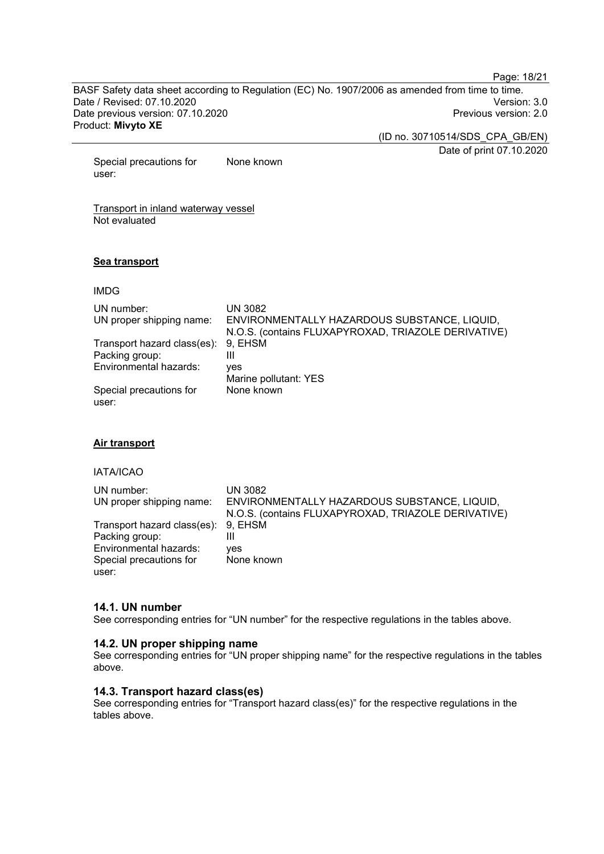Page: 18/21

BASF Safety data sheet according to Regulation (EC) No. 1907/2006 as amended from time to time. Date / Revised: 07.10.2020<br>Date previous version: 07.10.2020 Version: 3.0 Date previous version: 07.10.2020 Product: **Mivyto XE**

(ID no. 30710514/SDS\_CPA\_GB/EN)

Date of print 07.10.2020

Special precautions for user: None known

Transport in inland waterway vessel Not evaluated

#### **Sea transport**

#### IMDG

| UN number:<br>UN proper shipping name: | UN 3082<br>ENVIRONMENTALLY HAZARDOUS SUBSTANCE, LIQUID,<br>N.O.S. (contains FLUXAPYROXAD, TRIAZOLE DERIVATIVE) |
|----------------------------------------|----------------------------------------------------------------------------------------------------------------|
| Transport hazard class(es): 9, EHSM    |                                                                                                                |
| Packing group:                         | Ш                                                                                                              |
| Environmental hazards:                 | ves                                                                                                            |
|                                        | Marine pollutant: YES                                                                                          |
| Special precautions for<br>user:       | None known                                                                                                     |

#### **Air transport**

## IATA/ICAO

| UN number:<br>UN proper shipping name:                | <b>UN 3082</b><br>ENVIRONMENTALLY HAZARDOUS SUBSTANCE, LIQUID,<br>N.O.S. (contains FLUXAPYROXAD, TRIAZOLE DERIVATIVE) |
|-------------------------------------------------------|-----------------------------------------------------------------------------------------------------------------------|
| Transport hazard class(es): 9, EHSM<br>Packing group: | Ш                                                                                                                     |
| Environmental hazards:<br>Special precautions for     | yes<br>None known                                                                                                     |
| user:                                                 |                                                                                                                       |

#### **14.1. UN number**

See corresponding entries for "UN number" for the respective regulations in the tables above.

#### **14.2. UN proper shipping name**

See corresponding entries for "UN proper shipping name" for the respective regulations in the tables above.

## **14.3. Transport hazard class(es)**

See corresponding entries for "Transport hazard class(es)" for the respective regulations in the tables above.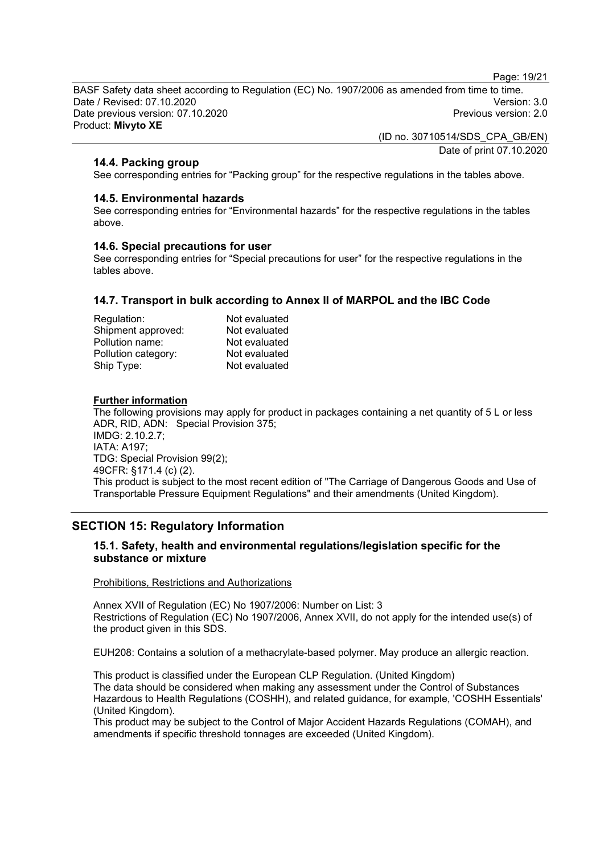Page: 19/21

BASF Safety data sheet according to Regulation (EC) No. 1907/2006 as amended from time to time. Date / Revised: 07.10.2020 Version: 3.0 Date previous version: 07.10.2020 Product: **Mivyto XE**

> (ID no. 30710514/SDS\_CPA\_GB/EN) Date of print 07.10.2020

## **14.4. Packing group**

See corresponding entries for "Packing group" for the respective regulations in the tables above.

#### **14.5. Environmental hazards**

See corresponding entries for "Environmental hazards" for the respective regulations in the tables above.

#### **14.6. Special precautions for user**

See corresponding entries for "Special precautions for user" for the respective regulations in the tables above.

## **14.7. Transport in bulk according to Annex II of MARPOL and the IBC Code**

| Regulation:         | Not evaluated |
|---------------------|---------------|
| Shipment approved:  | Not evaluated |
| Pollution name:     | Not evaluated |
| Pollution category: | Not evaluated |
| Ship Type:          | Not evaluated |

#### **Further information**

The following provisions may apply for product in packages containing a net quantity of 5 L or less ADR, RID, ADN: Special Provision 375; IMDG: 2.10.2.7; IATA: A197; TDG: Special Provision 99(2); 49CFR: §171.4 (c) (2). This product is subject to the most recent edition of "The Carriage of Dangerous Goods and Use of Transportable Pressure Equipment Regulations" and their amendments (United Kingdom).

# **SECTION 15: Regulatory Information**

## **15.1. Safety, health and environmental regulations/legislation specific for the substance or mixture**

#### Prohibitions, Restrictions and Authorizations

Annex XVII of Regulation (EC) No 1907/2006: Number on List: 3 Restrictions of Regulation (EC) No 1907/2006, Annex XVII, do not apply for the intended use(s) of the product given in this SDS.

EUH208: Contains a solution of a methacrylate-based polymer. May produce an allergic reaction.

This product is classified under the European CLP Regulation. (United Kingdom) The data should be considered when making any assessment under the Control of Substances Hazardous to Health Regulations (COSHH), and related guidance, for example, 'COSHH Essentials' (United Kingdom).

This product may be subject to the Control of Major Accident Hazards Regulations (COMAH), and amendments if specific threshold tonnages are exceeded (United Kingdom).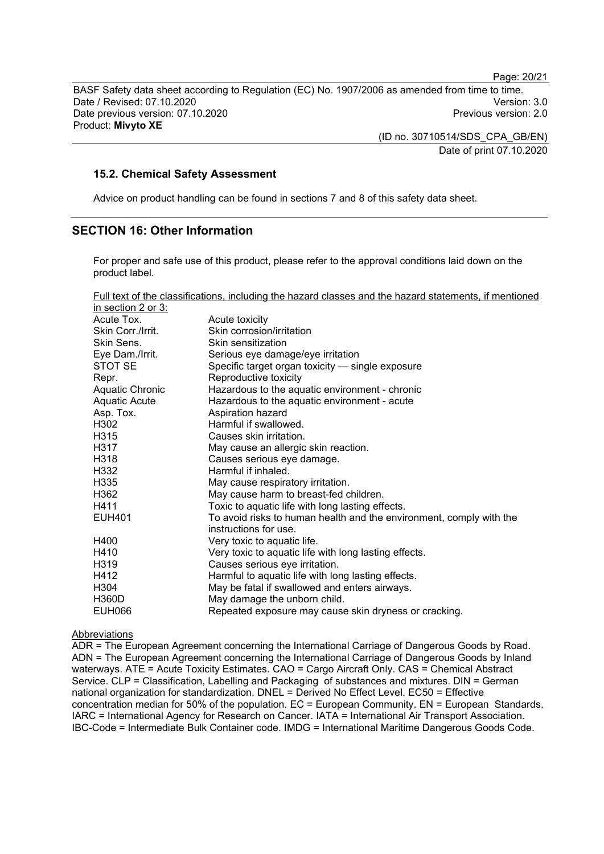Page: 20/21

BASF Safety data sheet according to Regulation (EC) No. 1907/2006 as amended from time to time. Date / Revised: 07.10.2020<br>Date previous version: 07.10.2020 Version: 3.0 Date previous version: 07.10.2020 Product: **Mivyto XE**

> (ID no. 30710514/SDS\_CPA\_GB/EN) Date of print 07.10.2020

#### **15.2. Chemical Safety Assessment**

Advice on product handling can be found in sections 7 and 8 of this safety data sheet.

## **SECTION 16: Other Information**

For proper and safe use of this product, please refer to the approval conditions laid down on the product label.

| Full text of the classifications, including the hazard classes and the hazard statements, if mentioned |
|--------------------------------------------------------------------------------------------------------|
|--------------------------------------------------------------------------------------------------------|

| in section 2 or $3:$   |                                                                                              |
|------------------------|----------------------------------------------------------------------------------------------|
| Acute Tox.             | Acute toxicity                                                                               |
| Skin Corr./Irrit.      | Skin corrosion/irritation                                                                    |
| Skin Sens.             | Skin sensitization                                                                           |
| Eye Dam./Irrit.        | Serious eye damage/eye irritation                                                            |
| STOT SE                | Specific target organ toxicity - single exposure                                             |
| Repr.                  | Reproductive toxicity                                                                        |
| <b>Aquatic Chronic</b> | Hazardous to the aquatic environment - chronic                                               |
| <b>Aquatic Acute</b>   | Hazardous to the aquatic environment - acute                                                 |
| Asp. Tox.              | Aspiration hazard                                                                            |
| H302                   | Harmful if swallowed.                                                                        |
| H315                   | Causes skin irritation.                                                                      |
| H317                   | May cause an allergic skin reaction.                                                         |
| H318                   | Causes serious eye damage.                                                                   |
| H332                   | Harmful if inhaled.                                                                          |
| H335                   | May cause respiratory irritation.                                                            |
| H362                   | May cause harm to breast-fed children.                                                       |
| H411                   | Toxic to aquatic life with long lasting effects.                                             |
| <b>EUH401</b>          | To avoid risks to human health and the environment, comply with the<br>instructions for use. |
| H400                   | Very toxic to aquatic life.                                                                  |
| H410                   | Very toxic to aquatic life with long lasting effects.                                        |
| H319                   | Causes serious eye irritation.                                                               |
| H412                   | Harmful to aquatic life with long lasting effects.                                           |
| H304                   | May be fatal if swallowed and enters airways.                                                |
| <b>H360D</b>           | May damage the unborn child.                                                                 |
| <b>EUH066</b>          | Repeated exposure may cause skin dryness or cracking.                                        |

#### Abbreviations

ADR = The European Agreement concerning the International Carriage of Dangerous Goods by Road. ADN = The European Agreement concerning the International Carriage of Dangerous Goods by Inland waterways. ATE = Acute Toxicity Estimates. CAO = Cargo Aircraft Only. CAS = Chemical Abstract Service. CLP = Classification, Labelling and Packaging of substances and mixtures. DIN = German national organization for standardization. DNEL = Derived No Effect Level. EC50 = Effective concentration median for 50% of the population. EC = European Community. EN = European Standards. IARC = International Agency for Research on Cancer. IATA = International Air Transport Association. IBC-Code = Intermediate Bulk Container code. IMDG = International Maritime Dangerous Goods Code.